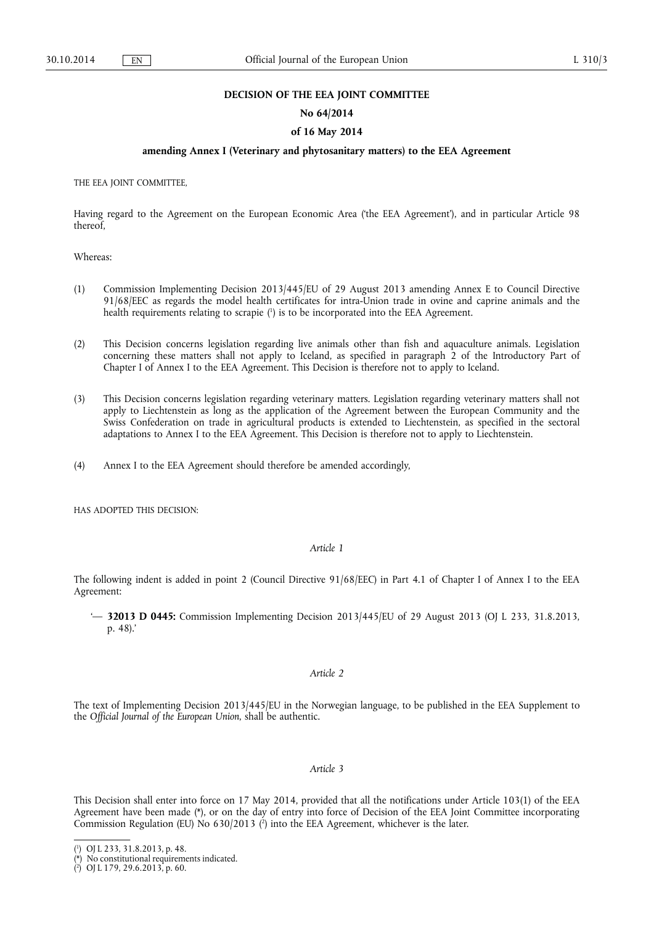### **DECISION OF THE EEA JOINT COMMITTEE**

### **No 64/2014**

### **of 16 May 2014**

## **amending Annex I (Veterinary and phytosanitary matters) to the EEA Agreement**

THE EEA JOINT COMMITTEE,

Having regard to the Agreement on the European Economic Area ('the EEA Agreement'), and in particular Article 98 thereof,

Whereas:

- (1) Commission Implementing Decision 2013/445/EU of 29 August 2013 amending Annex E to Council Directive 91/68/EEC as regards the model health certificates for intra-Union trade in ovine and caprine animals and the health requirements relating to scrapie (<sup>1</sup>) is to be incorporated into the EEA Agreement.
- (2) This Decision concerns legislation regarding live animals other than fish and aquaculture animals. Legislation concerning these matters shall not apply to Iceland, as specified in paragraph 2 of the Introductory Part of Chapter I of Annex I to the EEA Agreement. This Decision is therefore not to apply to Iceland.
- (3) This Decision concerns legislation regarding veterinary matters. Legislation regarding veterinary matters shall not apply to Liechtenstein as long as the application of the Agreement between the European Community and the Swiss Confederation on trade in agricultural products is extended to Liechtenstein, as specified in the sectoral adaptations to Annex I to the EEA Agreement. This Decision is therefore not to apply to Liechtenstein.
- (4) Annex I to the EEA Agreement should therefore be amended accordingly,

HAS ADOPTED THIS DECISION:

#### *Article 1*

The following indent is added in point 2 (Council Directive 91/68/EEC) in Part 4.1 of Chapter I of Annex I to the EEA Agreement:

'— **32013 D 0445:** Commission Implementing Decision 2013/445/EU of 29 August 2013 (OJ L 233, 31.8.2013, p. 48).'

## *Article 2*

The text of Implementing Decision 2013/445/EU in the Norwegian language, to be published in the EEA Supplement to the *Official Journal of the European Union*, shall be authentic.

## *Article 3*

This Decision shall enter into force on 17 May 2014, provided that all the notifications under Article 103(1) of the EEA Agreement have been made (\*), or on the day of entry into force of Decision of the EEA Joint Committee incorporating Commission Regulation (EU) No  $630/2013$  (<sup>2</sup>) into the EEA Agreement, whichever is the later.

<sup>(</sup> 1 ) OJ L 233, 31.8.2013, p. 48.

<sup>(\*)</sup> No constitutional requirements indicated.

<sup>(</sup> 2 ) OJ L 179, 29.6.2013, p. 60.